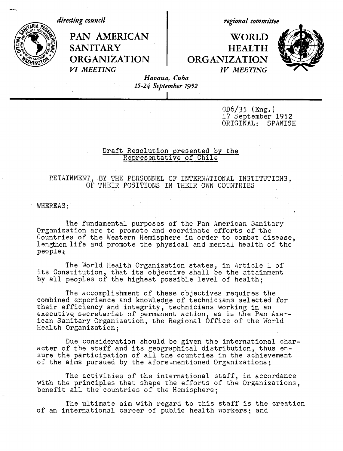*directing council*

*regional committee*

PAN AMERICAN | WORLD SANITARY **HEALTH ORGANIZATION | ORGANIZATION** *VI MEETING IV MEETING*



*Havana, Cuba 15-24 September 1952*

*I*

 $CD6/35$  (Eng.) 17 September 1952 ORIGINAL: SPANISH

## Draft Resolution presented by the Representative of Chile

RETAINMENT, BY THE PERSONNEL OF INTERNATIONAL INSTITUTIONS, OF THEIR POSITIONS IN THEIR OWN COUNTRIES

WHEREAS:

The fundamental purposes of the Pan American Sanitary Organization are to promote and coordinate efforts of the Countries of the Western Hemisphere in order to combat disease, lengthen life and promote the physical and mental health of the people;

The World Health Organization states, in Article 1 of its Constitution, that its objective shall be the attainment by all peoples of the highest possible level of health;

The accomplishment of these objectives requires the combined experience and knowledge of technicians selected for their efficiency and integrity, technicians working in an executive secretariat of permanent action, as is the Pan American Sanitary Organization, the Regional Office of the World Health Organization;

Due consideration should be given the international character of the staff and its geographical distribution, thus ensure the participation of all the countries in the achievement of the aims pursued by the afore-mentioned Organizations;

The activities of the international staff, in accordance with the principles that shape the efforts of the Organizations, benefit all the countries of the Hemisphere;

The ultimate aim with regard to this staff is the creation of an international career of public health workers; and